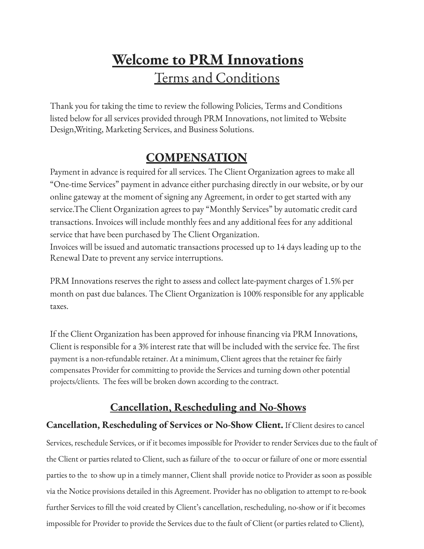# **Welcome to PRM Innovations** Terms and Conditions

Thank you for taking the time to review the following Policies, Terms and Conditions listed below for all services provided through PRM Innovations, not limited to Website Design,Writing, Marketing Services, and Business Solutions.

# **COMPENSATION**

Payment in advance is required for all services. The Client Organization agrees to make all "One-time Services" payment in advance either purchasing directly in our website, or by our online gateway at the moment of signing any Agreement, in order to get started with any service.The Client Organization agrees to pay "Monthly Services" by automatic credit card transactions. Invoices will include monthly fees and any additional fees for any additional service that have been purchased by The Client Organization.

Invoices will be issued and automatic transactions processed up to 14 days leading up to the Renewal Date to prevent any service interruptions.

PRM Innovations reserves the right to assess and collect late-payment charges of 1.5% per month on past due balances. The Client Organization is 100% responsible for any applicable taxes.

If the Client Organization has been approved for inhouse financing via PRM Innovations, Client is responsible for a 3% interest rate that will be included with the service fee. The first payment is a non-refundable retainer. At a minimum, Client agrees that the retainer fee fairly compensates Provider for committing to provide the Services and turning down other potential projects/clients. The fees will be broken down according to the contract.

# **Cancellation, Rescheduling and No-Shows**

### **Cancellation, Rescheduling of Services or No-Show Client.** If Client desires to cancel

Services, reschedule Services, or if it becomes impossible for Provider to render Services due to the fault of the Client or parties related to Client, such as failure of the to occur or failure of one or more essential parties to the to show up in a timely manner, Client shall provide notice to Provider as soon as possible via the Notice provisions detailed in this Agreement. Provider has no obligation to attempt to re-book further Services to fill the void created by Client's cancellation, rescheduling, no-show or if it becomes impossible for Provider to provide the Services due to the fault of Client (or parties related to Client),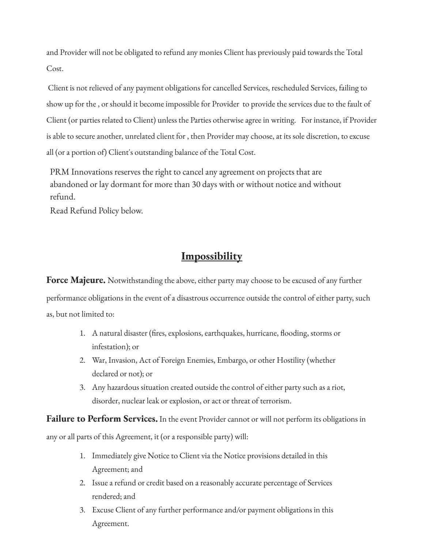and Provider will not be obligated to refund any monies Client has previously paid towards the Total Cost.

Client is not relieved of any payment obligations for cancelled Services, rescheduled Services, failing to show up for the , or should it become impossible for Provider to provide the services due to the fault of Client (or parties related to Client) unless the Parties otherwise agree in writing. For instance, if Provider is able to secure another, unrelated client for , then Provider may choose, at its sole discretion, to excuse all (or a portion of) Client's outstanding balance of the Total Cost.

PRM Innovations reserves the right to cancel any agreement on projects that are abandoned or lay dormant for more than 30 days with or without notice and without refund.

Read Refund Policy below.

### **Impossibility**

**Force Majeure.** Notwithstanding the above, either party may choose to be excused of any further performance obligations in the event of a disastrous occurrence outside the control of either party, such as, but not limited to:

- 1. A natural disaster (fires, explosions, earthquakes, hurricane, flooding, storms or infestation); or
- 2. War, Invasion, Act of Foreign Enemies, Embargo, or other Hostility (whether declared or not); or
- 3. Any hazardous situation created outside the control of either party such as a riot, disorder, nuclear leak or explosion, or act or threat of terrorism.

**Failure to Perform Services.** In the event Provider cannot or will not perform its obligations in

any or all parts of this Agreement, it (or a responsible party) will:

- 1. Immediately give Notice to Client via the Notice provisions detailed in this Agreement; and
- 2. Issue a refund or credit based on a reasonably accurate percentage of Services rendered; and
- 3. Excuse Client of any further performance and/or payment obligations in this Agreement.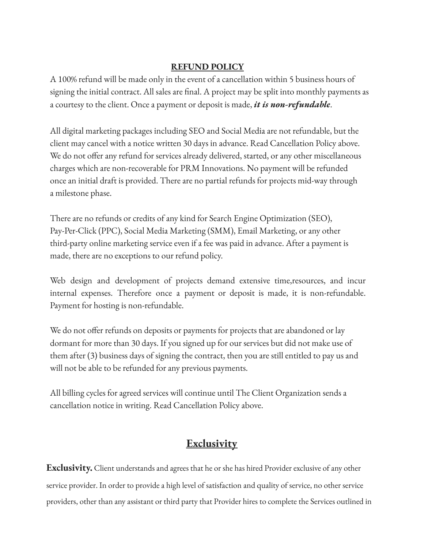#### **REFUND POLICY**

A 100% refund will be made only in the event of a cancellation within 5 business hours of signing the initial contract. All sales are final. A project may be split into monthly payments as a courtesy to the client. Once a payment or deposit is made, *it is non-refundable*.

All digital marketing packages including SEO and Social Media are not refundable, but the client may cancel with a notice written 30 days in advance. Read Cancellation Policy above. We do not offer any refund for services already delivered, started, or any other miscellaneous charges which are non-recoverable for PRM Innovations. No payment will be refunded once an initial draft is provided. There are no partial refunds for projects mid-way through a milestone phase.

There are no refunds or credits of any kind for Search Engine Optimization (SEO), Pay-Per-Click (PPC), Social Media Marketing (SMM), Email Marketing, or any other third-party online marketing service even if a fee was paid in advance. After a payment is made, there are no exceptions to our refund policy.

Web design and development of projects demand extensive time,resources, and incur internal expenses. Therefore once a payment or deposit is made, it is non-refundable. Payment for hosting is non-refundable.

We do not offer refunds on deposits or payments for projects that are abandoned or lay dormant for more than 30 days. If you signed up for our services but did not make use of them after (3) business days of signing the contract, then you are still entitled to pay us and will not be able to be refunded for any previous payments.

All billing cycles for agreed services will continue until The Client Organization sends a cancellation notice in writing. Read Cancellation Policy above.

# **Exclusivity**

**Exclusivity.** Client understands and agrees that he or she has hired Provider exclusive of any other service provider. In order to provide a high level of satisfaction and quality of service, no other service providers, other than any assistant or third party that Provider hires to complete the Services outlined in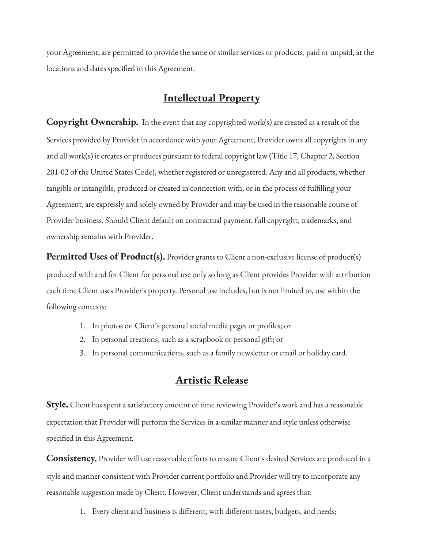your Agreement, are permitted to provide the same or similar services or products, paid or unpaid, at the locations and dates specified in this Agreement.

## **Intellectual Property**

**Copyright Ownership.** In the event that any copyrighted work(s) are created as a result of the Services provided by Provider in accordance with your Agreement, Provider owns all copyrights in any and all work(s) it creates or produces pursuant to federal copyright law (Title 17, Chapter 2, Section 201-02 of the United States Code), whether registered or unregistered. Any and all products, whether tangible or intangible, produced or created in connection with, or in the process of fulfilling your Agreement, are expressly and solely owned by Provider and may be used in the reasonable course of Provider business. Should Client default on contractual payment, full copyright, trademarks, and ownership remains with Provider.

**Permitted Uses of Product(s).** Provider grants to Client a non-exclusive license of product(s) produced with and for Client for personal use only so long as Client provides Provider with attribution each time Client uses Provider's property. Personal use includes, but is not limited to, use within the following contexts:

- 1. In photos on Client's personal social media pages or profiles; or
- 2. In personal creations, such as a scrapbook or personal gift; or
- 3. In personal communications, such as a family newsletter or email or holiday card.

#### **Artistic Release**

**Style.** Client has spent a satisfactory amount of time reviewing Provider's work and has a reasonable expectation that Provider will perform the Services in a similar manner and style unless otherwise specified in this Agreement.

**Consistency.** Provider will use reasonable efforts to ensure Client's desired Services are produced in a style and manner consistent with Provider current portfolio and Provider will try to incorporate any reasonable suggestion made by Client. However, Client understands and agrees that:

1. Every client and business is different, with different tastes, budgets, and needs;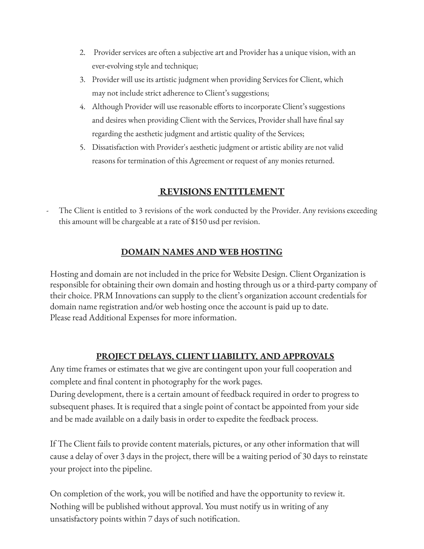- 2. Provider services are often a subjective art and Provider has a unique vision, with an ever-evolving style and technique;
- 3. Provider will use its artistic judgment when providing Services for Client, which may not include strict adherence to Client's suggestions;
- 4. Although Provider will use reasonable efforts to incorporate Client's suggestions and desires when providing Client with the Services, Provider shall have final say regarding the aesthetic judgment and artistic quality of the Services;
- 5. Dissatisfaction with Provider's aesthetic judgment or artistic ability are not valid reasons for termination of this Agreement or request of any monies returned.

### **REVISIONS ENTITLEMENT**

The Client is entitled to 3 revisions of the work conducted by the Provider. Any revisions exceeding this amount will be chargeable at a rate of \$150 usd per revision.

#### **DOMAIN NAMES AND WEB HOSTING**

Hosting and domain are not included in the price for Website Design. Client Organization is responsible for obtaining their own domain and hosting through us or a third-party company of their choice. PRM Innovations can supply to the client's organization account credentials for domain name registration and/or web hosting once the account is paid up to date. Please read Additional Expenses for more information.

#### **PROJECT DELAYS, CLIENT LIABILITY, AND APPROVALS**

Any time frames or estimates that we give are contingent upon your full cooperation and complete and final content in photography for the work pages.

During development, there is a certain amount of feedback required in order to progress to subsequent phases. It is required that a single point of contact be appointed from your side and be made available on a daily basis in order to expedite the feedback process.

If The Client fails to provide content materials, pictures, or any other information that will cause a delay of over 3 days in the project, there will be a waiting period of 30 days to reinstate your project into the pipeline.

On completion of the work, you will be notified and have the opportunity to review it. Nothing will be published without approval. You must notify us in writing of any unsatisfactory points within 7 days of such notification.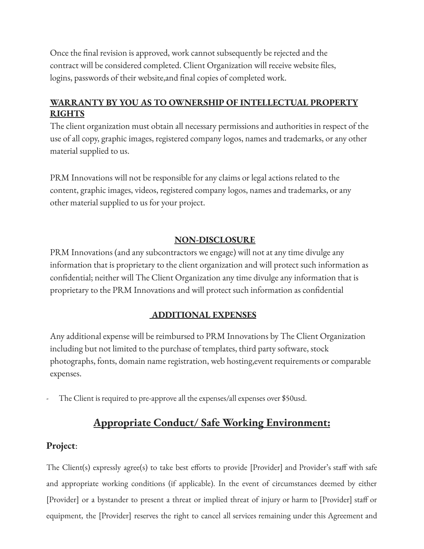Once the final revision is approved, work cannot subsequently be rejected and the contract will be considered completed. Client Organization will receive website files, logins, passwords of their website,and final copies of completed work.

### **WARRANTY BY YOU AS TO OWNERSHIP OF INTELLECTUAL PROPERTY RIGHTS**

The client organization must obtain all necessary permissions and authorities in respect of the use of all copy, graphic images, registered company logos, names and trademarks, or any other material supplied to us.

PRM Innovations will not be responsible for any claims or legal actions related to the content, graphic images, videos, registered company logos, names and trademarks, or any other material supplied to us for your project.

#### **NON-DISCLOSURE**

PRM Innovations (and any subcontractors we engage) will not at any time divulge any information that is proprietary to the client organization and will protect such information as confidential; neither will The Client Organization any time divulge any information that is proprietary to the PRM Innovations and will protect such information as confidential

#### **ADDITIONAL EXPENSES**

Any additional expense will be reimbursed to PRM Innovations by The Client Organization including but not limited to the purchase of templates, third party software, stock photographs, fonts, domain name registration, web hosting,event requirements or comparable expenses.

The Client is required to pre-approve all the expenses/all expenses over \$50usd.

### **Appropriate Conduct/ Safe Working Environment:**

#### **Project**:

The Client(s) expressly agree(s) to take best efforts to provide [Provider] and Provider's staff with safe and appropriate working conditions (if applicable). In the event of circumstances deemed by either [Provider] or a bystander to present a threat or implied threat of injury or harm to [Provider] staff or equipment, the [Provider] reserves the right to cancel all services remaining under this Agreement and